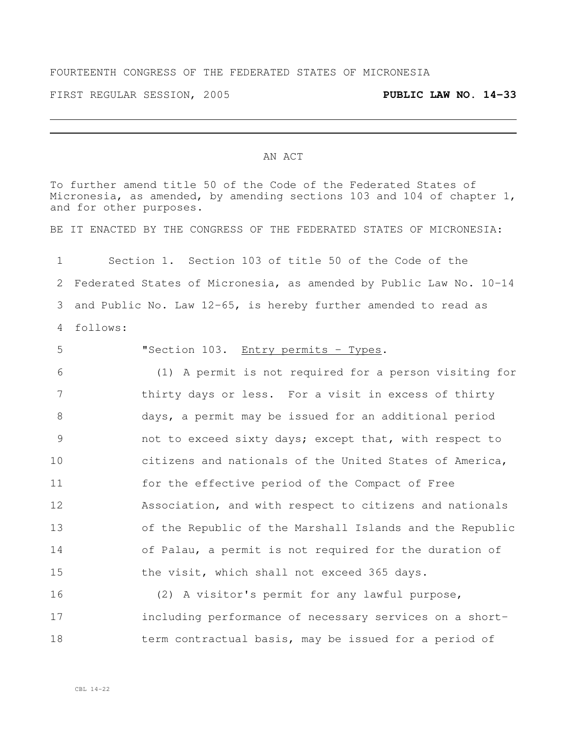## FOURTEENTH CONGRESS OF THE FEDERATED STATES OF MICRONESIA

FIRST REGULAR SESSION, 2005 **PUBLIC LAW NO. 14-33**

## AN ACT

To further amend title 50 of the Code of the Federated States of Micronesia, as amended, by amending sections 103 and 104 of chapter 1, and for other purposes.

BE IT ENACTED BY THE CONGRESS OF THE FEDERATED STATES OF MICRONESIA:

 Section 1. Section 103 of title 50 of the Code of the Federated States of Micronesia, as amended by Public Law No. 10-14 and Public No. Law 12-65, is hereby further amended to read as follows:

 "Section 103. Entry permits - Types. (1) A permit is not required for a person visiting for thirty days or less. For a visit in excess of thirty days, a permit may be issued for an additional period not to exceed sixty days; except that, with respect to citizens and nationals of the United States of America, for the effective period of the Compact of Free Association, and with respect to citizens and nationals of the Republic of the Marshall Islands and the Republic of Palau, a permit is not required for the duration of the visit, which shall not exceed 365 days.

 (2) A visitor's permit for any lawful purpose, including performance of necessary services on a short-18 term contractual basis, may be issued for a period of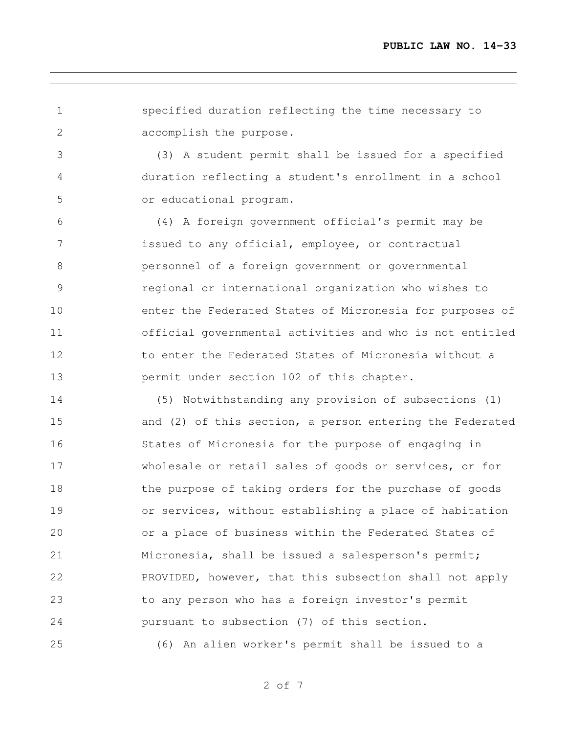specified duration reflecting the time necessary to accomplish the purpose.

 (3) A student permit shall be issued for a specified duration reflecting a student's enrollment in a school or educational program.

 (4) A foreign government official's permit may be issued to any official, employee, or contractual personnel of a foreign government or governmental regional or international organization who wishes to enter the Federated States of Micronesia for purposes of official governmental activities and who is not entitled 12 to enter the Federated States of Micronesia without a permit under section 102 of this chapter.

 (5) Notwithstanding any provision of subsections (1) and (2) of this section, a person entering the Federated States of Micronesia for the purpose of engaging in wholesale or retail sales of goods or services, or for 18 the purpose of taking orders for the purchase of goods or services, without establishing a place of habitation or a place of business within the Federated States of Micronesia, shall be issued a salesperson's permit; PROVIDED, however, that this subsection shall not apply to any person who has a foreign investor's permit pursuant to subsection (7) of this section. (6) An alien worker's permit shall be issued to a

of 7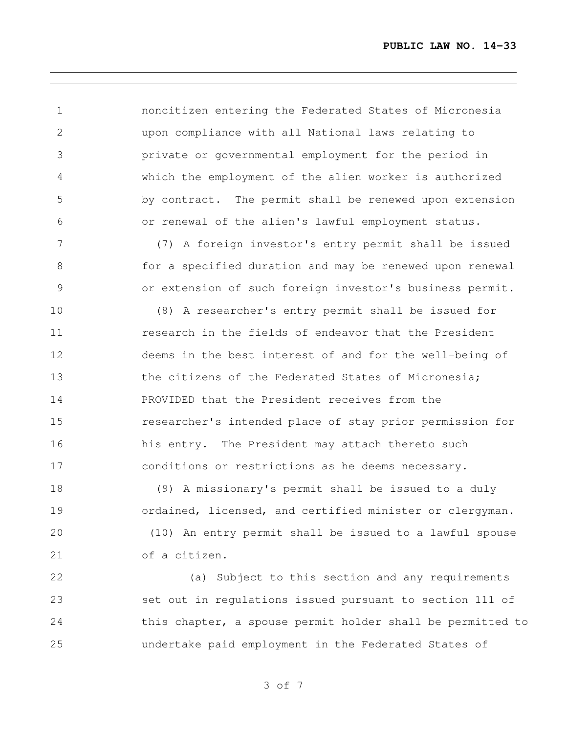noncitizen entering the Federated States of Micronesia upon compliance with all National laws relating to private or governmental employment for the period in which the employment of the alien worker is authorized by contract. The permit shall be renewed upon extension or renewal of the alien's lawful employment status.

 (7) A foreign investor's entry permit shall be issued for a specified duration and may be renewed upon renewal or extension of such foreign investor's business permit.

 (8) A researcher's entry permit shall be issued for **11** research in the fields of endeavor that the President deems in the best interest of and for the well-being of 13 the citizens of the Federated States of Micronesia; PROVIDED that the President receives from the researcher's intended place of stay prior permission for his entry. The President may attach thereto such conditions or restrictions as he deems necessary.

 (9) A missionary's permit shall be issued to a duly ordained, licensed, and certified minister or clergyman. (10) An entry permit shall be issued to a lawful spouse of a citizen.

 (a) Subject to this section and any requirements set out in regulations issued pursuant to section 111 of 24 this chapter, a spouse permit holder shall be permitted to undertake paid employment in the Federated States of

of 7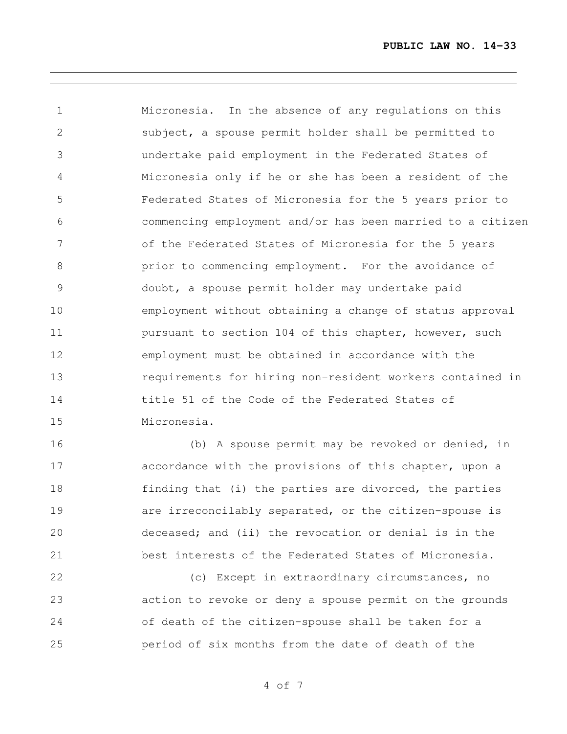Micronesia. In the absence of any regulations on this subject, a spouse permit holder shall be permitted to undertake paid employment in the Federated States of Micronesia only if he or she has been a resident of the Federated States of Micronesia for the 5 years prior to commencing employment and/or has been married to a citizen of the Federated States of Micronesia for the 5 years prior to commencing employment. For the avoidance of doubt, a spouse permit holder may undertake paid employment without obtaining a change of status approval **pursuant to section 104 of this chapter, however, such**  employment must be obtained in accordance with the requirements for hiring non-resident workers contained in title 51 of the Code of the Federated States of Micronesia.

 (b) A spouse permit may be revoked or denied, in accordance with the provisions of this chapter, upon a 18 finding that (i) the parties are divorced, the parties **are informally separated, or the citizen-spouse is**  deceased; and (ii) the revocation or denial is in the best interests of the Federated States of Micronesia.

 (c) Except in extraordinary circumstances, no action to revoke or deny a spouse permit on the grounds of death of the citizen-spouse shall be taken for a period of six months from the date of death of the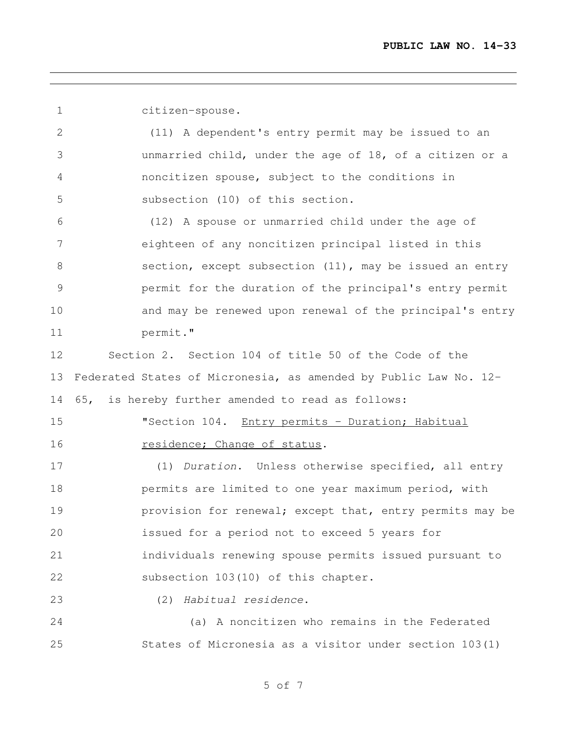citizen-spouse.

 (11) A dependent's entry permit may be issued to an unmarried child, under the age of 18, of a citizen or a noncitizen spouse, subject to the conditions in subsection (10) of this section.

 (12) A spouse or unmarried child under the age of eighteen of any noncitizen principal listed in this section, except subsection (11), may be issued an entry permit for the duration of the principal's entry permit and may be renewed upon renewal of the principal's entry permit."

 Section 2. Section 104 of title 50 of the Code of the Federated States of Micronesia, as amended by Public Law No. 12- 65, is hereby further amended to read as follows:

**"Section 104.** Entry permits - Duration; Habitual 16 residence; Change of status.

 (1) *Duration*. Unless otherwise specified, all entry permits are limited to one year maximum period, with **provision for renewal; except that, entry permits may be**  issued for a period not to exceed 5 years for individuals renewing spouse permits issued pursuant to subsection 103(10) of this chapter.

(2) *Habitual residence*.

 (a) A noncitizen who remains in the Federated States of Micronesia as a visitor under section 103(1)

of 7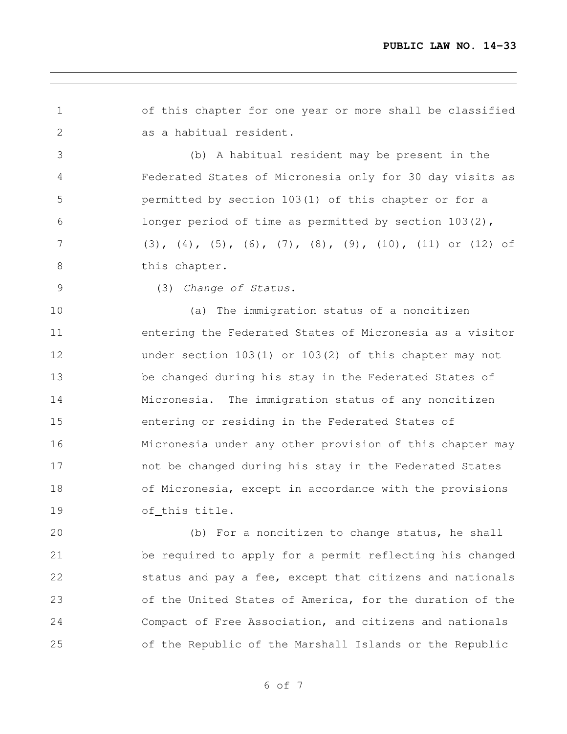of this chapter for one year or more shall be classified as a habitual resident. (b) A habitual resident may be present in the Federated States of Micronesia only for 30 day visits as permitted by section 103(1) of this chapter or for a

 (3), (4), (5), (6), (7), (8), (9), (10), (11) or (12) of 8 this chapter.

longer period of time as permitted by section 103(2),

## (3) *Change of Status.*

 (a) The immigration status of a noncitizen entering the Federated States of Micronesia as a visitor under section 103(1) or 103(2) of this chapter may not be changed during his stay in the Federated States of Micronesia. The immigration status of any noncitizen entering or residing in the Federated States of Micronesia under any other provision of this chapter may not be changed during his stay in the Federated States of Micronesia, except in accordance with the provisions of this title.

 (b) For a noncitizen to change status, he shall be required to apply for a permit reflecting his changed status and pay a fee, except that citizens and nationals of the United States of America, for the duration of the Compact of Free Association, and citizens and nationals of the Republic of the Marshall Islands or the Republic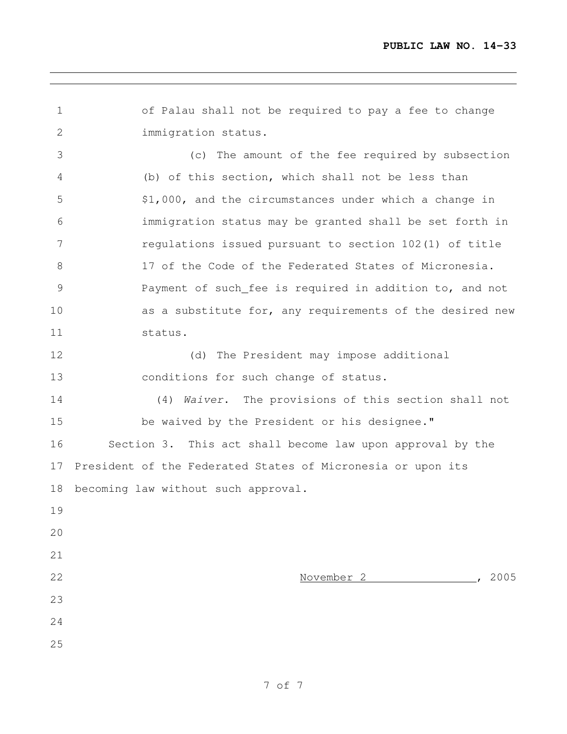of Palau shall not be required to pay a fee to change immigration status. (c) The amount of the fee required by subsection (b) of this section, which shall not be less than \$1,000, and the circumstances under which a change in immigration status may be granted shall be set forth in regulations issued pursuant to section 102(1) of title 17 of the Code of the Federated States of Micronesia. Payment of such fee is required in addition to, and not as a substitute for, any requirements of the desired new status. (d) The President may impose additional conditions for such change of status. (4) *Waiver*. The provisions of this section shall not be waived by the President or his designee." Section 3. This act shall become law upon approval by the President of the Federated States of Micronesia or upon its becoming law without such approval. November 2 , 2005